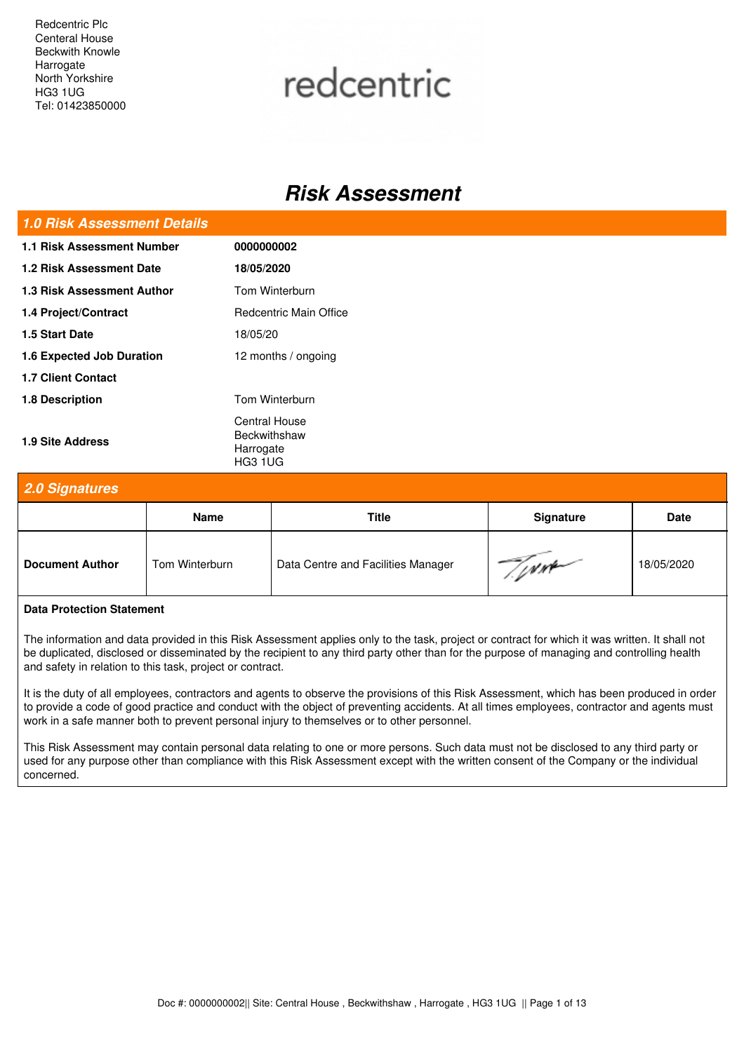Redcentric Plc Centeral House Beckwith Knowle Harrogate North Yorkshire HG3 1UG Tel: 01423850000

# redcentric

## *Risk Assessment*

#### *1.0 Risk Assessment Details*

| 1.1 Risk Assessment Number       | 0000000002                                            |
|----------------------------------|-------------------------------------------------------|
| 1.2 Risk Assessment Date         | 18/05/2020                                            |
| 1.3 Risk Assessment Author       | Tom Winterburn                                        |
| 1.4 Project/Contract             | Redcentric Main Office                                |
| 1.5 Start Date                   | 18/05/20                                              |
| <b>1.6 Expected Job Duration</b> | 12 months / ongoing                                   |
| <b>1.7 Client Contact</b>        |                                                       |
| 1.8 Description                  | Tom Winterburn                                        |
| <b>1.9 Site Address</b>          | Central House<br>Beckwithshaw<br>Harrogate<br>HG3 1UG |

#### *2.0 Signatures*

|                        | <b>Name</b>    | Title                              | <b>Signature</b> | <b>Date</b> |
|------------------------|----------------|------------------------------------|------------------|-------------|
| <b>Document Author</b> | Tom Winterburn | Data Centre and Facilities Manager | $\sim$           | 18/05/2020  |

#### **Data Protection Statement**

The information and data provided in this Risk Assessment applies only to the task, project or contract for which it was written. It shall not be duplicated, disclosed or disseminated by the recipient to any third party other than for the purpose of managing and controlling health and safety in relation to this task, project or contract.

It is the duty of all employees, contractors and agents to observe the provisions of this Risk Assessment, which has been produced in order to provide a code of good practice and conduct with the object of preventing accidents. At all times employees, contractor and agents must work in a safe manner both to prevent personal injury to themselves or to other personnel.

This Risk Assessment may contain personal data relating to one or more persons. Such data must not be disclosed to any third party or used for any purpose other than compliance with this Risk Assessment except with the written consent of the Company or the individual concerned.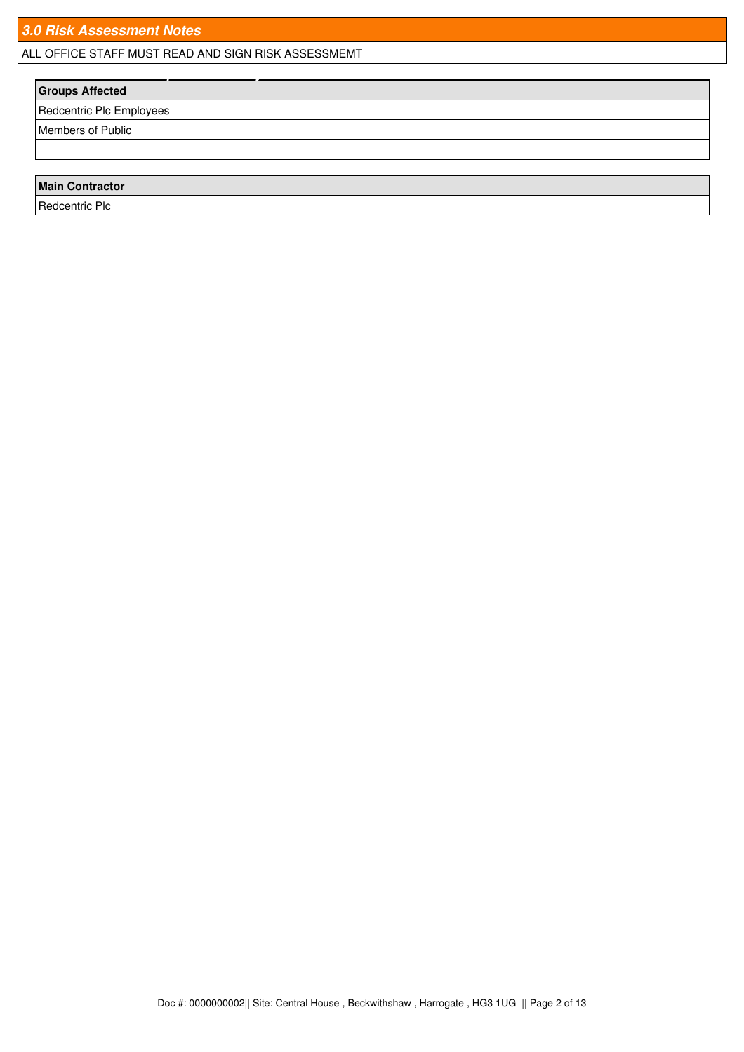ALL OFFICE STAFF MUST READ AND SIGN RISK ASSESSMEMT *4.0 Individuals or Groups Affected By This Assessment*

### **Groups Affected**

Redcentric Plc Employees

Members of Public

#### **Main Contractor**

Redcentric Plc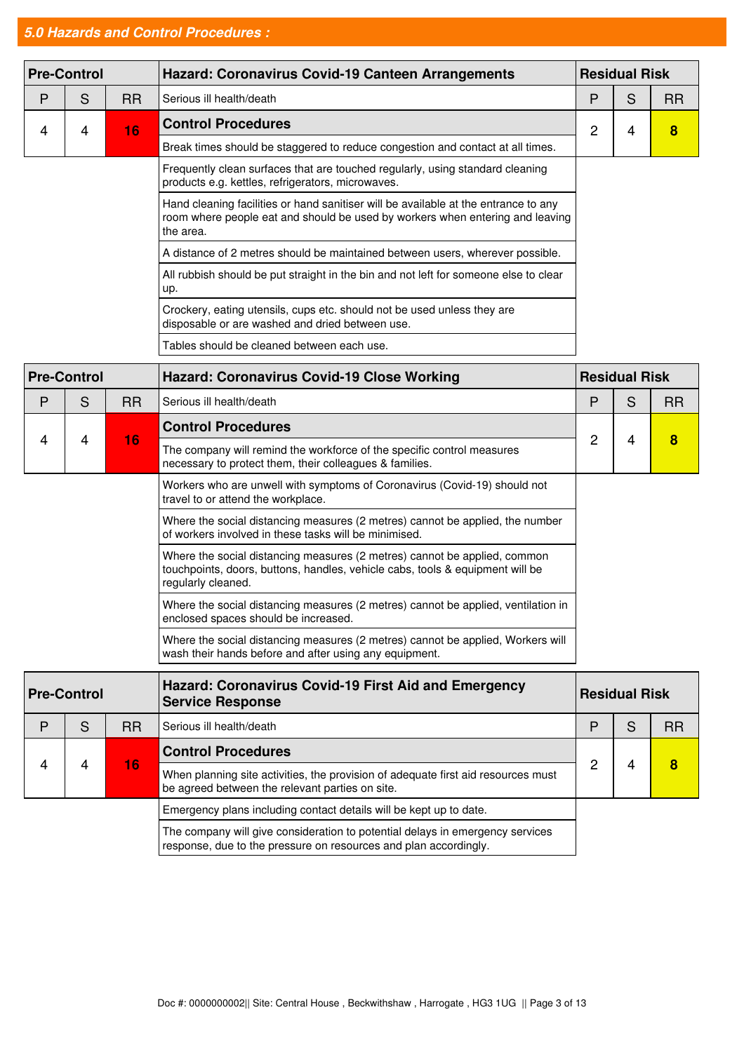## *5.0 Hazards and Control Procedures :*

|   | <b>Pre-Control</b> |           | <b>Hazard: Coronavirus Covid-19 Canteen Arrangements</b>                                                                                                                          |   | <b>Residual Risk</b> |           |  |
|---|--------------------|-----------|-----------------------------------------------------------------------------------------------------------------------------------------------------------------------------------|---|----------------------|-----------|--|
| P | S                  | <b>RR</b> | Serious ill health/death                                                                                                                                                          | P | S                    | <b>RR</b> |  |
| 4 | 4                  | 16        | <b>Control Procedures</b>                                                                                                                                                         | 2 | 4                    | 8         |  |
|   |                    |           | Break times should be staggered to reduce congestion and contact at all times.                                                                                                    |   |                      |           |  |
|   |                    |           | Frequently clean surfaces that are touched regularly, using standard cleaning<br>products e.g. kettles, refrigerators, microwaves.                                                |   |                      |           |  |
|   |                    |           | Hand cleaning facilities or hand sanitiser will be available at the entrance to any<br>room where people eat and should be used by workers when entering and leaving<br>the area. |   |                      |           |  |
|   |                    |           | A distance of 2 metres should be maintained between users, wherever possible.                                                                                                     |   |                      |           |  |
|   |                    |           | All rubbish should be put straight in the bin and not left for someone else to clear<br>up.                                                                                       |   |                      |           |  |
|   |                    |           | Crockery, eating utensils, cups etc. should not be used unless they are<br>disposable or are washed and dried between use.                                                        |   |                      |           |  |
|   |                    |           | Tables should be cleaned between each use.                                                                                                                                        |   |                      |           |  |

|   | <b>Pre-Control</b> |           | <b>Hazard: Coronavirus Covid-19 Close Working</b>                                                                                                                                | <b>Residual Risk</b> |                      |           |
|---|--------------------|-----------|----------------------------------------------------------------------------------------------------------------------------------------------------------------------------------|----------------------|----------------------|-----------|
| P | S                  | <b>RR</b> | Serious ill health/death                                                                                                                                                         | P                    | S                    | <b>RR</b> |
|   |                    |           | <b>Control Procedures</b>                                                                                                                                                        |                      |                      |           |
| 4 | 4                  | 16        | The company will remind the workforce of the specific control measures<br>necessary to protect them, their colleagues & families.                                                | 2                    | 4                    | 8         |
|   |                    |           | Workers who are unwell with symptoms of Coronavirus (Covid-19) should not<br>travel to or attend the workplace.                                                                  |                      |                      |           |
|   |                    |           | Where the social distancing measures (2 metres) cannot be applied, the number<br>of workers involved in these tasks will be minimised.                                           |                      |                      |           |
|   |                    |           | Where the social distancing measures (2 metres) cannot be applied, common<br>touchpoints, doors, buttons, handles, vehicle cabs, tools & equipment will be<br>regularly cleaned. |                      |                      |           |
|   |                    |           | Where the social distancing measures (2 metres) cannot be applied, ventilation in<br>enclosed spaces should be increased.                                                        |                      |                      |           |
|   |                    |           | Where the social distancing measures (2 metres) cannot be applied, Workers will<br>wash their hands before and after using any equipment.                                        |                      |                      |           |
|   | <b>Pre-Control</b> |           | Hazard: Coronavirus Covid-19 First Aid and Emergency<br><b>Service Response</b>                                                                                                  |                      | <b>Residual Risk</b> |           |
| P | S                  | <b>RR</b> | Serious ill health/death                                                                                                                                                         | P                    | S                    | <b>RR</b> |
|   |                    |           | <b>Control Procedures</b>                                                                                                                                                        |                      |                      |           |
| 4 | 4                  | 16        | When planning site activities, the provision of adequate first aid resources must<br>be agreed between the relevant parties on site.                                             | 2                    | 4                    | 8         |
|   |                    |           | Emergency plans including contact details will be kept up to date.                                                                                                               |                      |                      |           |
|   |                    |           | The company will give consideration to potential delays in emergency services<br>response, due to the pressure on resources and plan accordingly.                                |                      |                      |           |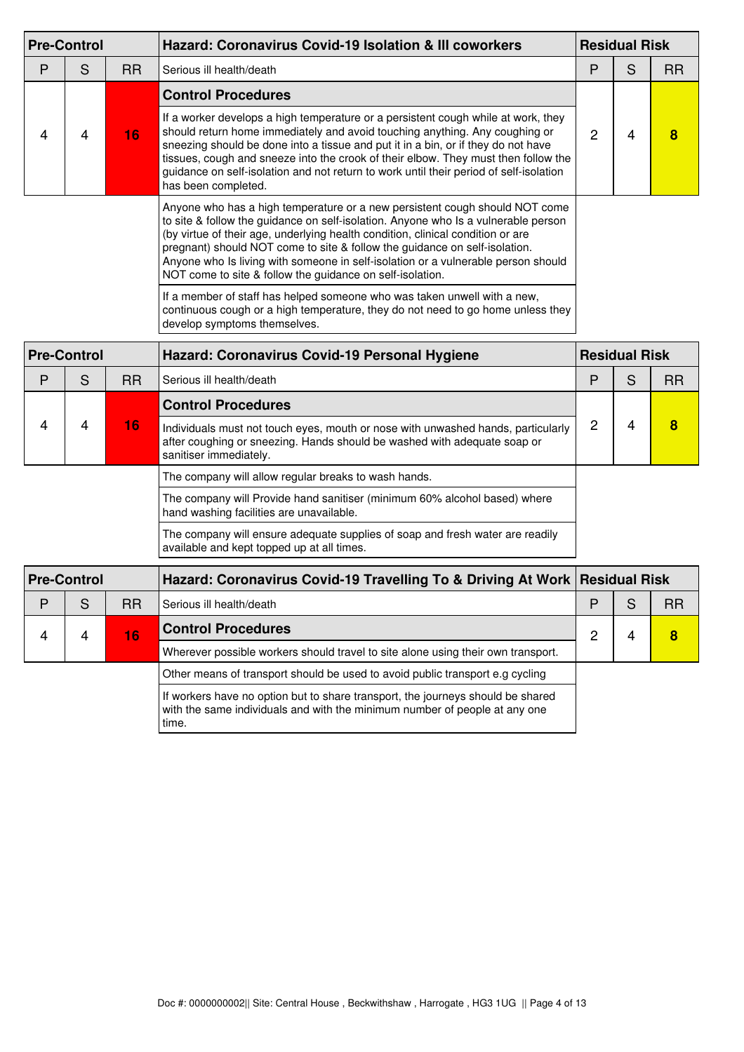|   | <b>Pre-Control</b> |           | Hazard: Coronavirus Covid-19 Isolation & III coworkers                                                                                                                                                                                                                                                                                                                                                                                                                               | <b>Residual Risk</b> |                      |           |
|---|--------------------|-----------|--------------------------------------------------------------------------------------------------------------------------------------------------------------------------------------------------------------------------------------------------------------------------------------------------------------------------------------------------------------------------------------------------------------------------------------------------------------------------------------|----------------------|----------------------|-----------|
| P | S                  | <b>RR</b> | Serious ill health/death                                                                                                                                                                                                                                                                                                                                                                                                                                                             | P                    | S                    | <b>RR</b> |
|   |                    |           | <b>Control Procedures</b>                                                                                                                                                                                                                                                                                                                                                                                                                                                            |                      |                      |           |
| 4 | 4                  | 16        | If a worker develops a high temperature or a persistent cough while at work, they<br>should return home immediately and avoid touching anything. Any coughing or<br>sneezing should be done into a tissue and put it in a bin, or if they do not have<br>tissues, cough and sneeze into the crook of their elbow. They must then follow the<br>guidance on self-isolation and not return to work until their period of self-isolation<br>has been completed.                         | 2                    | 4                    | 8         |
|   |                    |           | Anyone who has a high temperature or a new persistent cough should NOT come<br>to site & follow the guidance on self-isolation. Anyone who Is a vulnerable person<br>(by virtue of their age, underlying health condition, clinical condition or are<br>pregnant) should NOT come to site & follow the guidance on self-isolation.<br>Anyone who Is living with someone in self-isolation or a vulnerable person should<br>NOT come to site & follow the guidance on self-isolation. |                      |                      |           |
|   |                    |           | If a member of staff has helped someone who was taken unwell with a new,<br>continuous cough or a high temperature, they do not need to go home unless they<br>develop symptoms themselves.                                                                                                                                                                                                                                                                                          |                      |                      |           |
|   | <b>Pre-Control</b> |           | Hazard: Coronavirus Covid-19 Personal Hygiene                                                                                                                                                                                                                                                                                                                                                                                                                                        |                      | <b>Residual Risk</b> |           |
| D | $\mathbf{C}$       | <b>DD</b> | Corious ill boolth/dooth                                                                                                                                                                                                                                                                                                                                                                                                                                                             | D                    | c                    | <b>DD</b> |

| D | S                  | RR.                       | Serious ill health/death                                                                                                                                                               | P | S | <b>RR</b> |
|---|--------------------|---------------------------|----------------------------------------------------------------------------------------------------------------------------------------------------------------------------------------|---|---|-----------|
|   |                    | <b>Control Procedures</b> |                                                                                                                                                                                        |   |   |           |
| 4 | 4                  | 16                        | Individuals must not touch eyes, mouth or nose with unwashed hands, particularly<br>after coughing or sneezing. Hands should be washed with adequate soap or<br>sanitiser immediately. |   |   | 8         |
|   |                    |                           | The company will allow regular breaks to wash hands.                                                                                                                                   |   |   |           |
|   |                    |                           | The company will Provide hand sanitiser (minimum 60% alcohol based) where<br>hand washing facilities are unavailable.                                                                  |   |   |           |
|   |                    |                           | The company will ensure adequate supplies of soap and fresh water are readily<br>available and kept topped up at all times.                                                            |   |   |           |
|   | <b>Pre-Control</b> |                           | Hazard: Coronavirus Covid-19 Travelling To & Driving At Work Residual Risk                                                                                                             |   |   |           |

| <b>Pre-Control</b> |   |           | Hazard: Coronavirus Covid-19 Travelling To & Driving At Work  Residual Risk                                                                                            |   |           |
|--------------------|---|-----------|------------------------------------------------------------------------------------------------------------------------------------------------------------------------|---|-----------|
| P                  | S | <b>RR</b> | Serious ill health/death                                                                                                                                               | D | <b>RR</b> |
| Δ                  | 4 | <b>T6</b> | <b>Control Procedures</b>                                                                                                                                              |   | 8         |
|                    |   |           | Wherever possible workers should travel to site alone using their own transport.                                                                                       |   |           |
|                    |   |           | Other means of transport should be used to avoid public transport e.g cycling                                                                                          |   |           |
|                    |   |           | If workers have no option but to share transport, the journeys should be shared<br>with the same individuals and with the minimum number of people at any one<br>time. |   |           |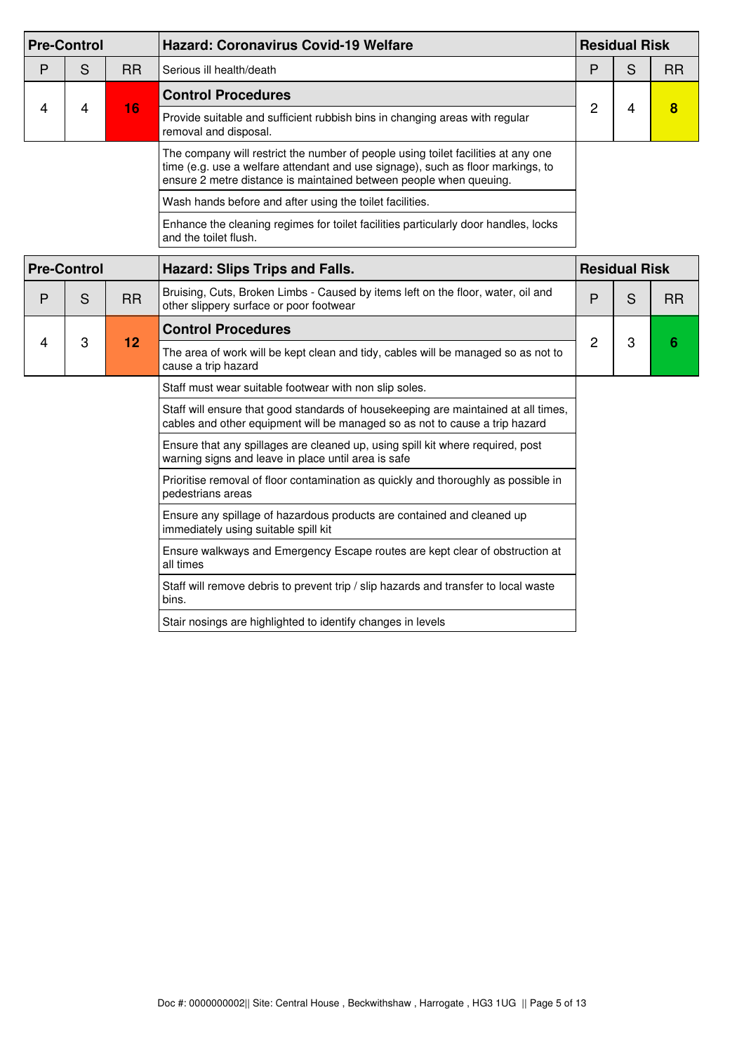| <b>Pre-Control</b> |                    |           | <b>Hazard: Coronavirus Covid-19 Welfare</b>                                                                                                                                                                                                |   | <b>Residual Risk</b> |                 |
|--------------------|--------------------|-----------|--------------------------------------------------------------------------------------------------------------------------------------------------------------------------------------------------------------------------------------------|---|----------------------|-----------------|
| P                  | S                  | <b>RR</b> | Serious ill health/death                                                                                                                                                                                                                   | P | S                    | <b>RR</b>       |
|                    |                    |           | <b>Control Procedures</b>                                                                                                                                                                                                                  |   |                      |                 |
| 4                  | 4                  | 16        | Provide suitable and sufficient rubbish bins in changing areas with regular<br>removal and disposal.                                                                                                                                       | 2 | 4                    | 8               |
|                    |                    |           | The company will restrict the number of people using toilet facilities at any one<br>time (e.g. use a welfare attendant and use signage), such as floor markings, to<br>ensure 2 metre distance is maintained between people when queuing. |   |                      |                 |
|                    |                    |           | Wash hands before and after using the toilet facilities.                                                                                                                                                                                   |   |                      |                 |
|                    |                    |           | Enhance the cleaning regimes for toilet facilities particularly door handles, locks<br>and the toilet flush.                                                                                                                               |   |                      |                 |
|                    | <b>Pre-Control</b> |           | <b>Hazard: Slips Trips and Falls.</b>                                                                                                                                                                                                      |   | <b>Residual Risk</b> |                 |
| P                  | S                  | <b>RR</b> | Bruising, Cuts, Broken Limbs - Caused by items left on the floor, water, oil and<br>other slippery surface or poor footwear                                                                                                                | P | S                    | <b>RR</b>       |
|                    | 3                  |           | <b>Control Procedures</b>                                                                                                                                                                                                                  |   |                      |                 |
| 4                  |                    | 12        | The area of work will be kept clean and tidy, cables will be managed so as not to<br>cause a trip hazard                                                                                                                                   | 2 | 3                    | $6\phantom{1}6$ |
|                    |                    |           | Staff must wear suitable footwear with non slip soles.                                                                                                                                                                                     |   |                      |                 |
|                    |                    |           | Staff will ensure that good standards of housekeeping are maintained at all times,<br>cables and other equipment will be managed so as not to cause a trip hazard                                                                          |   |                      |                 |
|                    |                    |           | Ensure that any spillages are cleaned up, using spill kit where required, post<br>warning signs and leave in place until area is safe                                                                                                      |   |                      |                 |
|                    |                    |           | Prioritise removal of floor contamination as quickly and thoroughly as possible in<br>pedestrians areas                                                                                                                                    |   |                      |                 |
|                    |                    |           | Ensure any spillage of hazardous products are contained and cleaned up<br>immediately using suitable spill kit                                                                                                                             |   |                      |                 |
|                    |                    |           | Ensure walkways and Emergency Escape routes are kept clear of obstruction at<br>all times                                                                                                                                                  |   |                      |                 |
|                    |                    |           | Staff will remove debris to prevent trip / slip hazards and transfer to local waste<br>bins.                                                                                                                                               |   |                      |                 |
|                    |                    |           | Stair nosings are highlighted to identify changes in levels                                                                                                                                                                                |   |                      |                 |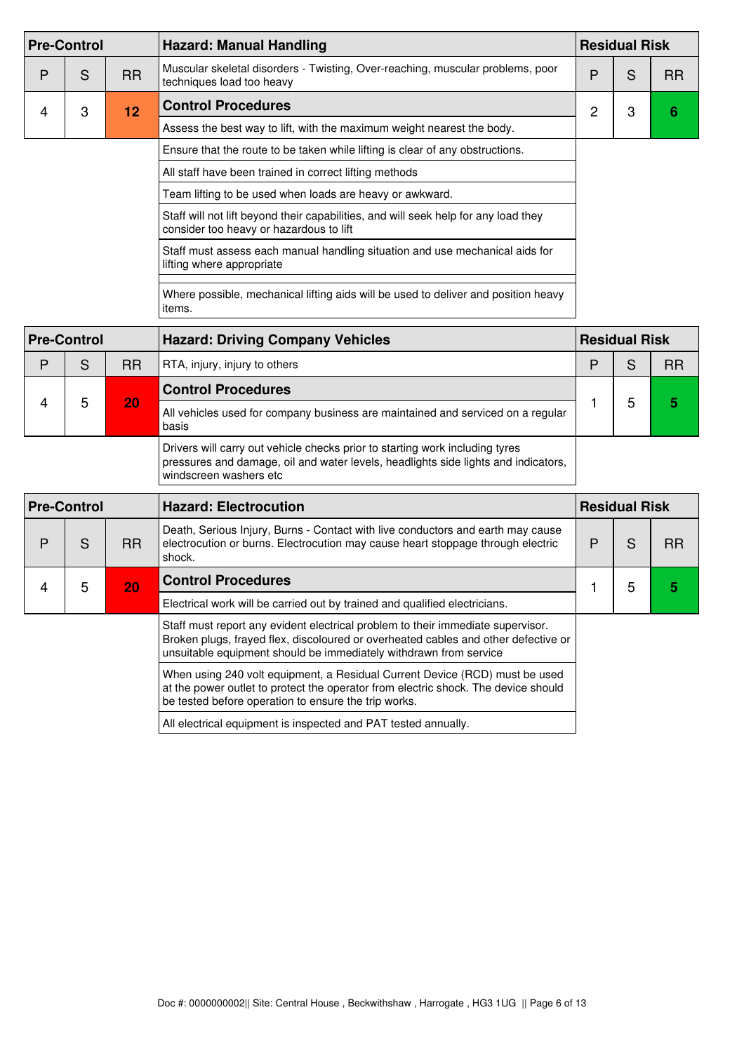|   | <b>Pre-Control</b> |           | <b>Hazard: Manual Handling</b>                                                                                                 |   | <b>Residual Risk</b> |           |  |
|---|--------------------|-----------|--------------------------------------------------------------------------------------------------------------------------------|---|----------------------|-----------|--|
| P | S                  | <b>RR</b> | Muscular skeletal disorders - Twisting, Over-reaching, muscular problems, poor<br>techniques load too heavy                    | Ρ | S                    | <b>RR</b> |  |
| 4 | 3                  | 12        | <b>Control Procedures</b>                                                                                                      | 2 | 3                    |           |  |
|   |                    |           | Assess the best way to lift, with the maximum weight nearest the body.                                                         |   |                      |           |  |
|   |                    |           | Ensure that the route to be taken while lifting is clear of any obstructions.                                                  |   |                      |           |  |
|   |                    |           | All staff have been trained in correct lifting methods                                                                         |   |                      |           |  |
|   |                    |           | Team lifting to be used when loads are heavy or awkward.                                                                       |   |                      |           |  |
|   |                    |           | Staff will not lift beyond their capabilities, and will seek help for any load they<br>consider too heavy or hazardous to lift |   |                      |           |  |
|   |                    |           | Staff must assess each manual handling situation and use mechanical aids for<br>lifting where appropriate                      |   |                      |           |  |
|   |                    |           | Where possible, mechanical lifting aids will be used to deliver and position heavy<br>items.                                   |   |                      |           |  |

| <b>Pre-Control</b> |   |           | <b>Hazard: Driving Company Vehicles</b>                                                                                                                                                      |   | <b>Residual Risk</b> |           |  |
|--------------------|---|-----------|----------------------------------------------------------------------------------------------------------------------------------------------------------------------------------------------|---|----------------------|-----------|--|
| P                  | S | <b>RR</b> | RTA, injury, injury to others                                                                                                                                                                | D |                      | <b>RR</b> |  |
|                    |   |           | <b>Control Procedures</b>                                                                                                                                                                    |   |                      |           |  |
|                    | 5 | 20        | All vehicles used for company business are maintained and serviced on a regular<br>basis                                                                                                     |   |                      | 5         |  |
|                    |   |           | Drivers will carry out vehicle checks prior to starting work including tyres<br>pressures and damage, oil and water levels, headlights side lights and indicators,<br>windscreen washers etc |   |                      |           |  |

| <b>Pre-Control</b> |   |           | <b>Hazard: Electrocution</b>                                                                                                                                                                                                               |  | <b>Residual Risk</b> |    |  |
|--------------------|---|-----------|--------------------------------------------------------------------------------------------------------------------------------------------------------------------------------------------------------------------------------------------|--|----------------------|----|--|
| Р                  | S | <b>RR</b> | Death, Serious Injury, Burns - Contact with live conductors and earth may cause<br>electrocution or burns. Electrocution may cause heart stoppage through electric<br>shock.                                                               |  | S                    | RR |  |
|                    | 5 | 20        | <b>Control Procedures</b>                                                                                                                                                                                                                  |  |                      | 5  |  |
|                    |   |           | Electrical work will be carried out by trained and qualified electricians.                                                                                                                                                                 |  |                      |    |  |
|                    |   |           | Staff must report any evident electrical problem to their immediate supervisor.<br>Broken plugs, frayed flex, discoloured or overheated cables and other defective or<br>unsuitable equipment should be immediately withdrawn from service |  |                      |    |  |
|                    |   |           | When using 240 volt equipment, a Residual Current Device (RCD) must be used<br>at the power outlet to protect the operator from electric shock. The device should<br>be tested before operation to ensure the trip works.                  |  |                      |    |  |

All electrical equipment is inspected and PAT tested annually.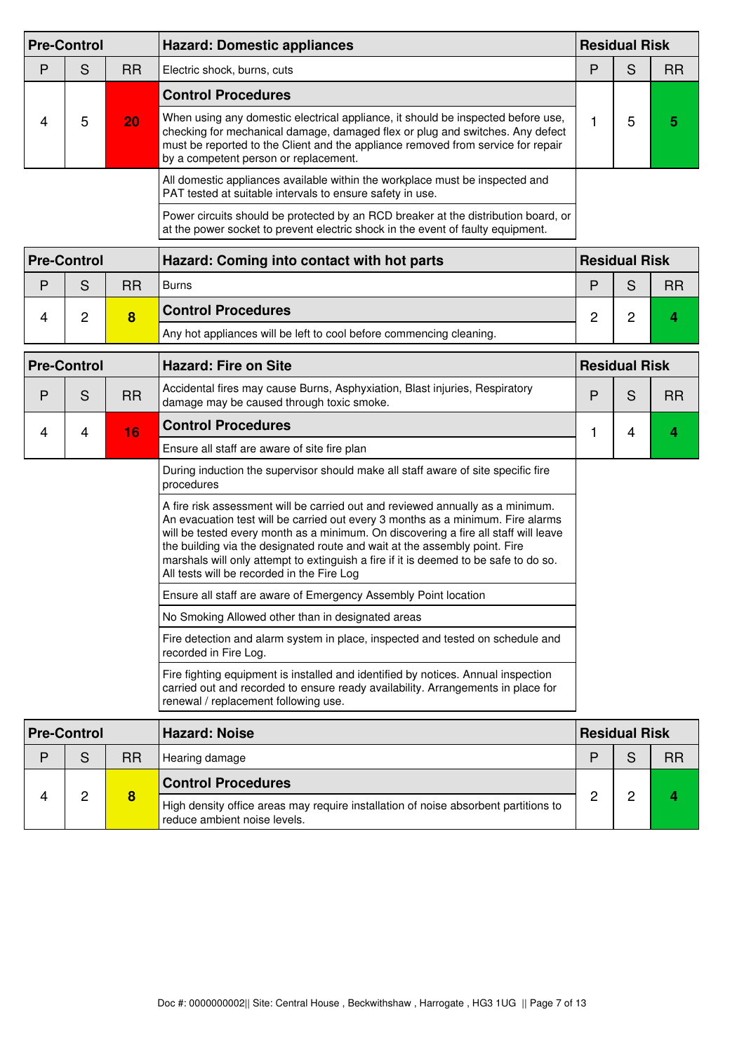|   | <b>Pre-Control</b> |           | <b>Hazard: Domestic appliances</b>                                                                                                                                                                                                                                                                                                                                                                                                                                           |                      | <b>Residual Risk</b> |           |
|---|--------------------|-----------|------------------------------------------------------------------------------------------------------------------------------------------------------------------------------------------------------------------------------------------------------------------------------------------------------------------------------------------------------------------------------------------------------------------------------------------------------------------------------|----------------------|----------------------|-----------|
| P | S                  | <b>RR</b> | Electric shock, burns, cuts                                                                                                                                                                                                                                                                                                                                                                                                                                                  | P                    | S                    | <b>RR</b> |
|   |                    |           | <b>Control Procedures</b>                                                                                                                                                                                                                                                                                                                                                                                                                                                    |                      |                      |           |
| 4 | 5                  | 20        | When using any domestic electrical appliance, it should be inspected before use,<br>checking for mechanical damage, damaged flex or plug and switches. Any defect<br>must be reported to the Client and the appliance removed from service for repair<br>by a competent person or replacement.                                                                                                                                                                               | 1                    | 5                    | 5         |
|   |                    |           | All domestic appliances available within the workplace must be inspected and<br>PAT tested at suitable intervals to ensure safety in use.                                                                                                                                                                                                                                                                                                                                    |                      |                      |           |
|   |                    |           | Power circuits should be protected by an RCD breaker at the distribution board, or<br>at the power socket to prevent electric shock in the event of faulty equipment.                                                                                                                                                                                                                                                                                                        |                      |                      |           |
|   | <b>Pre-Control</b> |           | Hazard: Coming into contact with hot parts                                                                                                                                                                                                                                                                                                                                                                                                                                   |                      | <b>Residual Risk</b> |           |
| P | S                  | <b>RR</b> | <b>Burns</b>                                                                                                                                                                                                                                                                                                                                                                                                                                                                 | P                    | S                    | <b>RR</b> |
| 4 | $\overline{c}$     | 8         | <b>Control Procedures</b>                                                                                                                                                                                                                                                                                                                                                                                                                                                    | $\overline{2}$       | $\overline{c}$       | 4         |
|   |                    |           | Any hot appliances will be left to cool before commencing cleaning.                                                                                                                                                                                                                                                                                                                                                                                                          |                      |                      |           |
|   | <b>Pre-Control</b> |           | <b>Hazard: Fire on Site</b>                                                                                                                                                                                                                                                                                                                                                                                                                                                  | <b>Residual Risk</b> |                      |           |
| P | S                  | <b>RR</b> | Accidental fires may cause Burns, Asphyxiation, Blast injuries, Respiratory<br>damage may be caused through toxic smoke.                                                                                                                                                                                                                                                                                                                                                     | P                    | S                    | <b>RR</b> |
| 4 | 4                  | 16        | <b>Control Procedures</b>                                                                                                                                                                                                                                                                                                                                                                                                                                                    | 1                    | 4                    | 4         |
|   |                    |           | Ensure all staff are aware of site fire plan                                                                                                                                                                                                                                                                                                                                                                                                                                 |                      |                      |           |
|   |                    |           | During induction the supervisor should make all staff aware of site specific fire<br>procedures                                                                                                                                                                                                                                                                                                                                                                              |                      |                      |           |
|   |                    |           | A fire risk assessment will be carried out and reviewed annually as a minimum.<br>An evacuation test will be carried out every 3 months as a minimum. Fire alarms<br>will be tested every month as a minimum. On discovering a fire all staff will leave<br>the building via the designated route and wait at the assembly point. Fire<br>marshals will only attempt to extinguish a fire if it is deemed to be safe to do so.<br>All tests will be recorded in the Fire Log |                      |                      |           |
|   |                    |           | Ensure all staff are aware of Emergency Assembly Point location                                                                                                                                                                                                                                                                                                                                                                                                              |                      |                      |           |
|   |                    |           | No Smoking Allowed other than in designated areas                                                                                                                                                                                                                                                                                                                                                                                                                            |                      |                      |           |
|   |                    |           | Fire detection and alarm system in place, inspected and tested on schedule and<br>recorded in Fire Log.                                                                                                                                                                                                                                                                                                                                                                      |                      |                      |           |
|   |                    |           | Fire fighting equipment is installed and identified by notices. Annual inspection<br>carried out and recorded to ensure ready availability. Arrangements in place for<br>renewal / replacement following use.                                                                                                                                                                                                                                                                |                      |                      |           |
|   | <b>Pre-Control</b> |           | <b>Hazard: Noise</b>                                                                                                                                                                                                                                                                                                                                                                                                                                                         |                      | <b>Residual Risk</b> |           |

| <b>Pre-Control</b> |   |    | Hazard: Noise                                                                                                       | <b>Residual Risk</b> |  |           |
|--------------------|---|----|---------------------------------------------------------------------------------------------------------------------|----------------------|--|-----------|
| D                  | S | RR | Hearing damage                                                                                                      |                      |  | <b>RR</b> |
|                    | ◠ |    | <b>Control Procedures</b>                                                                                           |                      |  |           |
|                    |   |    | High density office areas may require installation of noise absorbent partitions to<br>reduce ambient noise levels. |                      |  |           |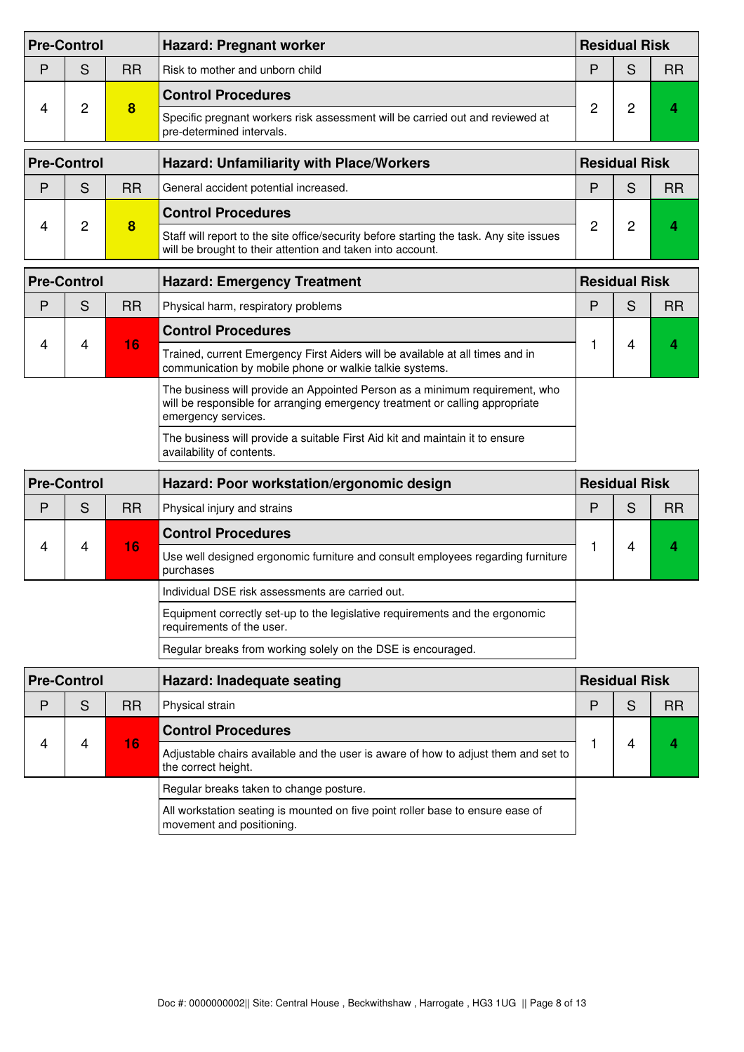|   | <b>Pre-Control</b> |           | <b>Hazard: Pregnant worker</b>                                                                                                                                                     | <b>Residual Risk</b> |                      |           |
|---|--------------------|-----------|------------------------------------------------------------------------------------------------------------------------------------------------------------------------------------|----------------------|----------------------|-----------|
| P | S                  | <b>RR</b> | Risk to mother and unborn child                                                                                                                                                    | P                    | S                    | <b>RR</b> |
|   |                    | 8         | <b>Control Procedures</b>                                                                                                                                                          |                      |                      |           |
| 4 | 2                  |           | Specific pregnant workers risk assessment will be carried out and reviewed at<br>pre-determined intervals.                                                                         | 2                    | 2                    | 4         |
|   | <b>Pre-Control</b> |           | <b>Hazard: Unfamiliarity with Place/Workers</b>                                                                                                                                    |                      | <b>Residual Risk</b> |           |
| P | S                  | <b>RR</b> | General accident potential increased.                                                                                                                                              | P                    | S                    | <b>RR</b> |
|   |                    |           | <b>Control Procedures</b>                                                                                                                                                          |                      |                      |           |
| 4 | 2                  | 8         | Staff will report to the site office/security before starting the task. Any site issues<br>will be brought to their attention and taken into account.                              | $\overline{c}$       | 2                    | 4         |
|   | <b>Pre-Control</b> |           | <b>Hazard: Emergency Treatment</b>                                                                                                                                                 | <b>Residual Risk</b> |                      |           |
| P | S                  | <b>RR</b> | Physical harm, respiratory problems                                                                                                                                                | P                    | S                    | <b>RR</b> |
|   |                    | 16        | <b>Control Procedures</b>                                                                                                                                                          |                      |                      |           |
| 4 | 4                  |           | Trained, current Emergency First Aiders will be available at all times and in<br>communication by mobile phone or walkie talkie systems.                                           |                      | 4                    | 4         |
|   |                    |           | The business will provide an Appointed Person as a minimum requirement, who<br>will be responsible for arranging emergency treatment or calling appropriate<br>emergency services. |                      |                      |           |
|   |                    |           | The business will provide a suitable First Aid kit and maintain it to ensure<br>availability of contents.                                                                          |                      |                      |           |
|   | <b>Pre-Control</b> |           | Hazard: Poor workstation/ergonomic design                                                                                                                                          |                      | <b>Residual Risk</b> |           |
| P | S                  | <b>RR</b> | Physical injury and strains                                                                                                                                                        | P                    | S                    | <b>RR</b> |
|   |                    |           | <b>Control Procedures</b>                                                                                                                                                          |                      |                      |           |
| 4 | 4                  | 16        | Use well designed ergonomic furniture and consult employees regarding furniture<br>nurchases                                                                                       |                      | 4                    | 4         |

| 10 | Use well designed ergonomic furniture and consult employees regarding furniture<br>purchases              |  |  |
|----|-----------------------------------------------------------------------------------------------------------|--|--|
|    | Individual DSE risk assessments are carried out.                                                          |  |  |
|    | Equipment correctly set-up to the legislative requirements and the ergonomic<br>requirements of the user. |  |  |
|    | Regular breaks from working solely on the DSE is encouraged.                                              |  |  |

| <b>Pre-Control</b> |   |                                                                                                                 | Hazard: Inadequate seating                                                                                  |   | <b>Residual Risk</b> |           |  |
|--------------------|---|-----------------------------------------------------------------------------------------------------------------|-------------------------------------------------------------------------------------------------------------|---|----------------------|-----------|--|
| P                  | S | <b>RR</b>                                                                                                       | Physical strain                                                                                             | D |                      | <b>RR</b> |  |
|                    |   |                                                                                                                 | <b>Control Procedures</b>                                                                                   |   |                      |           |  |
| 4                  | 4 | 16<br>Adjustable chairs available and the user is aware of how to adjust them and set to<br>the correct height. |                                                                                                             |   |                      |           |  |
|                    |   |                                                                                                                 | Regular breaks taken to change posture.                                                                     |   |                      |           |  |
|                    |   |                                                                                                                 | All workstation seating is mounted on five point roller base to ensure ease of<br>movement and positioning. |   |                      |           |  |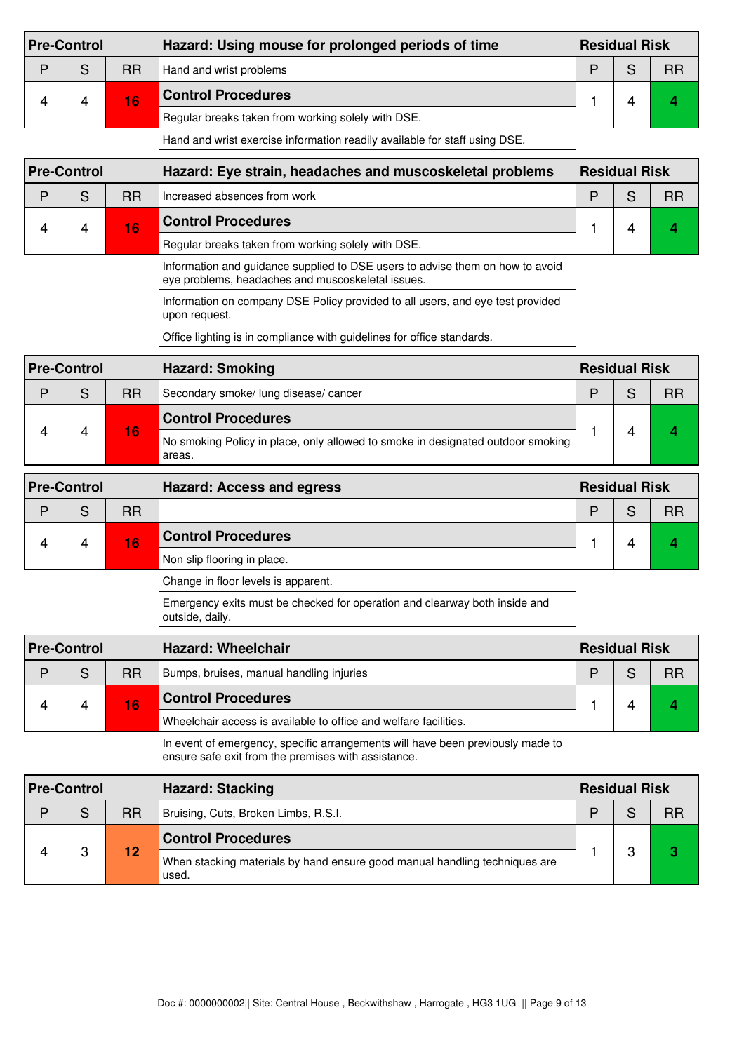| <b>Pre-Control</b> |   |           | Hazard: Using mouse for prolonged periods of time                          | <b>Residual Risk</b> |  |           |
|--------------------|---|-----------|----------------------------------------------------------------------------|----------------------|--|-----------|
| D                  | S | <b>RR</b> | Hand and wrist problems                                                    |                      |  | <b>RR</b> |
|                    | 4 | 16        | <b>Control Procedures</b>                                                  |                      |  |           |
|                    |   |           | Regular breaks taken from working solely with DSE.                         |                      |  |           |
|                    |   |           | Hand and wrist exercise information readily available for staff using DSE. |                      |  |           |

| <b>Pre-Control</b> |   |           | Hazard: Eye strain, headaches and muscoskeletal problems                                                                           | <b>Residual Risk</b> |  |           |
|--------------------|---|-----------|------------------------------------------------------------------------------------------------------------------------------------|----------------------|--|-----------|
| D                  | S | <b>RR</b> | Increased absences from work                                                                                                       | D                    |  | <b>RR</b> |
|                    | 4 | 16        | <b>Control Procedures</b>                                                                                                          |                      |  |           |
|                    |   |           | Regular breaks taken from working solely with DSE.                                                                                 |                      |  |           |
|                    |   |           | Information and guidance supplied to DSE users to advise them on how to avoid<br>eye problems, headaches and muscoskeletal issues. |                      |  |           |

Information on company DSE Policy provided to all users, and eye test provided upon request. Office lighting is in compliance with guidelines for office standards.

| <b>Pre-Control</b> |   |           | <b>Hazard: Smoking</b>                                                                    | <b>Residual Risk</b> |  |           |
|--------------------|---|-----------|-------------------------------------------------------------------------------------------|----------------------|--|-----------|
| D                  | S | <b>RR</b> | Secondary smoke/ lung disease/ cancer                                                     | D                    |  | <b>RR</b> |
|                    |   |           | <b>Control Procedures</b>                                                                 |                      |  |           |
|                    |   | 16        | No smoking Policy in place, only allowed to smoke in designated outdoor smoking<br>areas. |                      |  |           |

| <b>Pre-Control</b> |   |           | <b>Hazard: Access and egress</b>                                                              | <b>Residual Risk</b> |  |           |
|--------------------|---|-----------|-----------------------------------------------------------------------------------------------|----------------------|--|-----------|
| P                  | S | <b>RR</b> |                                                                                               | D                    |  | <b>RR</b> |
| 4                  | 4 | 16'       | <b>Control Procedures</b>                                                                     |                      |  |           |
|                    |   |           | Non slip flooring in place.                                                                   |                      |  |           |
|                    |   |           | Change in floor levels is apparent.                                                           |                      |  |           |
|                    |   |           | Emergency exits must be checked for operation and clearway both inside and<br>outside, daily. |                      |  |           |

| <b>Pre-Control</b> |   |     | Hazard: Wheelchair                                                                                                                    | <b>Residual Risk</b> |  |    |
|--------------------|---|-----|---------------------------------------------------------------------------------------------------------------------------------------|----------------------|--|----|
| D                  | S | RR. | Bumps, bruises, manual handling injuries                                                                                              |                      |  | RR |
|                    | 4 | 16  | <b>Control Procedures</b>                                                                                                             |                      |  |    |
|                    |   |     | Wheelchair access is available to office and welfare facilities.                                                                      |                      |  |    |
|                    |   |     | In event of emergency, specific arrangements will have been previously made to<br>ensure safe exit from the premises with assistance. |                      |  |    |

| <b>Pre-Control</b> |   |           | <b>Hazard: Stacking</b>                                                             | <b>Residual Risk</b> |   |           |
|--------------------|---|-----------|-------------------------------------------------------------------------------------|----------------------|---|-----------|
| D                  | S | <b>RR</b> | Bruising, Cuts, Broken Limbs, R.S.I.                                                |                      |   | <b>RR</b> |
|                    |   | 12        | <b>Control Procedures</b>                                                           |                      | റ |           |
|                    | ົ |           | When stacking materials by hand ensure good manual handling techniques are<br>used. |                      |   |           |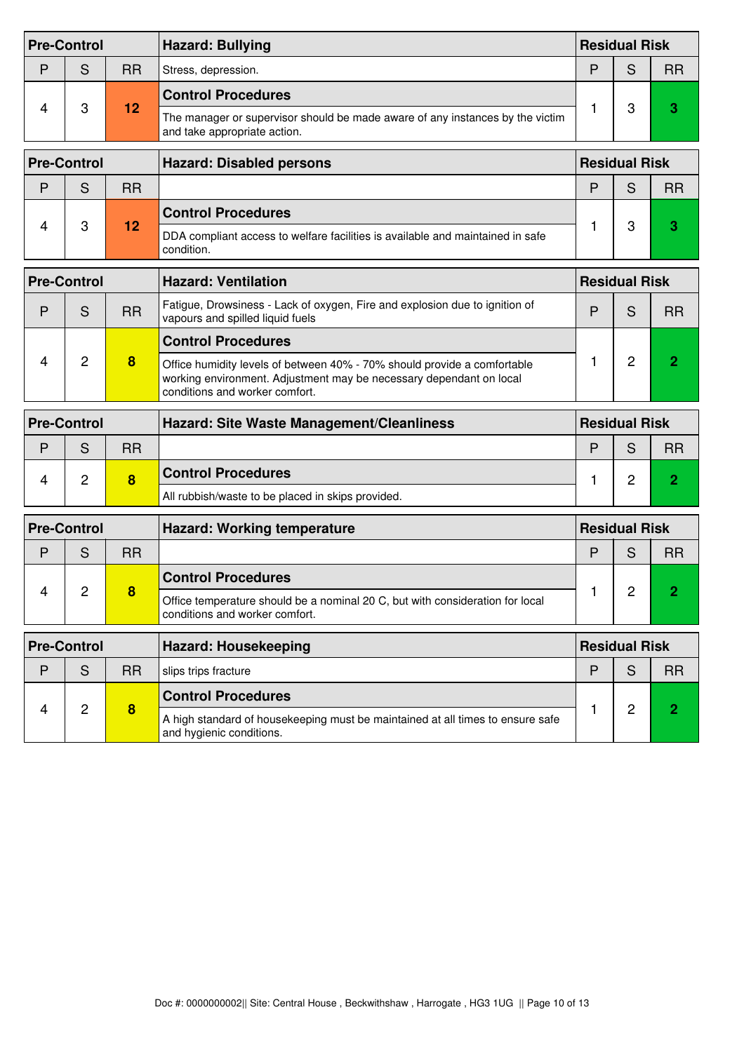|   | <b>Pre-Control</b> |           | <b>Hazard: Bullying</b>                                                                                                                                                           | <b>Residual Risk</b> |                      |                |
|---|--------------------|-----------|-----------------------------------------------------------------------------------------------------------------------------------------------------------------------------------|----------------------|----------------------|----------------|
| P | S                  | <b>RR</b> | Stress, depression.                                                                                                                                                               | P                    | S                    | <b>RR</b>      |
|   |                    |           | <b>Control Procedures</b>                                                                                                                                                         |                      |                      |                |
| 4 | 3                  | 12        | The manager or supervisor should be made aware of any instances by the victim<br>and take appropriate action.                                                                     | 1                    | 3                    | 3              |
|   | <b>Pre-Control</b> |           | <b>Hazard: Disabled persons</b>                                                                                                                                                   |                      | <b>Residual Risk</b> |                |
| P | S                  | <b>RR</b> |                                                                                                                                                                                   | P                    | S                    | <b>RR</b>      |
|   |                    |           | <b>Control Procedures</b>                                                                                                                                                         |                      |                      |                |
| 4 | 3                  | 12        | DDA compliant access to welfare facilities is available and maintained in safe<br>condition.                                                                                      | 1                    | 3                    | 3              |
|   | <b>Pre-Control</b> |           | <b>Hazard: Ventilation</b>                                                                                                                                                        |                      | <b>Residual Risk</b> |                |
| P | S                  | <b>RR</b> | Fatigue, Drowsiness - Lack of oxygen, Fire and explosion due to ignition of<br>vapours and spilled liquid fuels                                                                   | P                    | S                    | <b>RR</b>      |
|   | 2                  | 8         | <b>Control Procedures</b>                                                                                                                                                         |                      |                      |                |
| 4 |                    |           | Office humidity levels of between 40% - 70% should provide a comfortable<br>working environment. Adjustment may be necessary dependant on local<br>conditions and worker comfort. | 1                    | $\overline{2}$       | 2              |
|   | <b>Pre-Control</b> |           | Hazard: Site Waste Management/Cleanliness                                                                                                                                         | <b>Residual Risk</b> |                      |                |
| P | S                  | <b>RR</b> |                                                                                                                                                                                   | P                    | S                    | <b>RR</b>      |
| 4 | $\overline{c}$     | 8         | <b>Control Procedures</b>                                                                                                                                                         | 1                    | $\overline{2}$       | $\overline{2}$ |
|   |                    |           | All rubbish/waste to be placed in skips provided.                                                                                                                                 |                      |                      |                |
|   | <b>Pre-Control</b> |           | <b>Hazard: Working temperature</b>                                                                                                                                                |                      | <b>Residual Risk</b> |                |
| P | S                  | <b>RR</b> |                                                                                                                                                                                   | P                    | S                    | <b>RR</b>      |
|   |                    |           | <b>Control Procedures</b>                                                                                                                                                         |                      |                      |                |
| 4 | 2                  | 8         | Office temperature should be a nominal 20 C, but with consideration for local<br>conditions and worker comfort.                                                                   | 1                    | 2                    | z              |
|   | <b>Pre-Control</b> |           | <b>Hazard: Housekeeping</b>                                                                                                                                                       |                      | <b>Residual Risk</b> |                |
| P | S                  | <b>RR</b> | slips trips fracture                                                                                                                                                              | P                    | S                    | <b>RR</b>      |
|   |                    |           | <b>Control Procedures</b>                                                                                                                                                         |                      |                      |                |
| 4 | $\overline{c}$     | 8         | A high standard of housekeeping must be maintained at all times to ensure safe<br>and hygienic conditions.                                                                        | 1                    | $\overline{2}$       | $\overline{2}$ |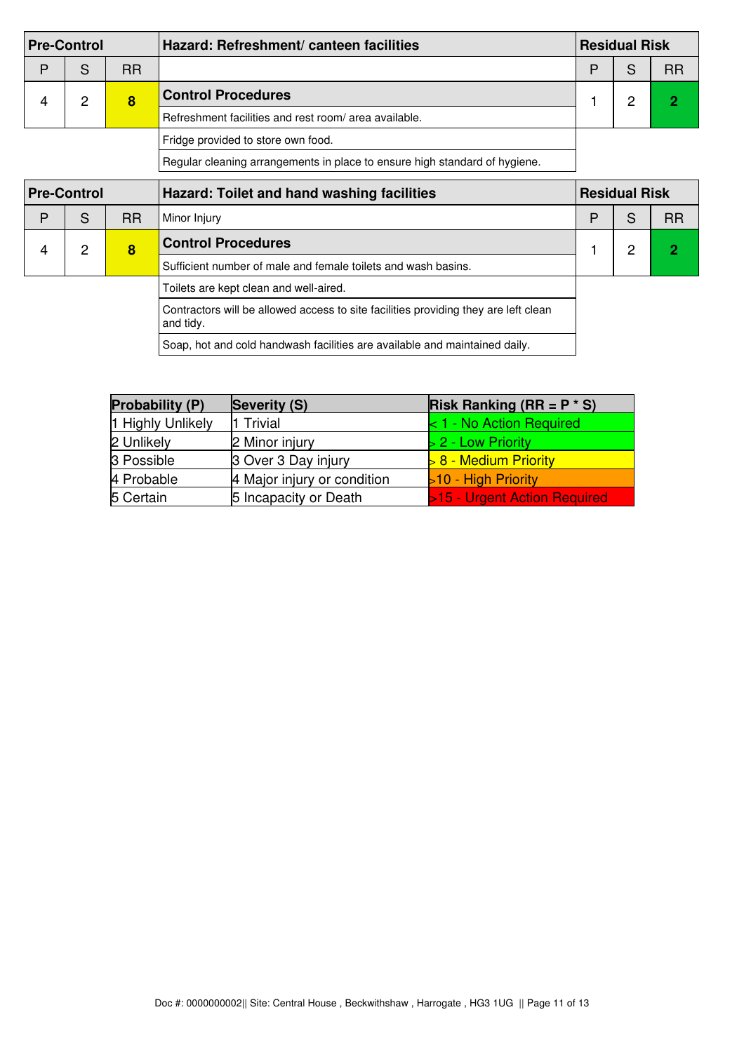| <b>Pre-Control</b> |   |           | Hazard: Refreshment/ canteen facilities                                    | <b>Residual Risk</b> |  |    |
|--------------------|---|-----------|----------------------------------------------------------------------------|----------------------|--|----|
| D                  | S | <b>RR</b> |                                                                            | D                    |  | RR |
|                    | ◠ | 8         | <b>Control Procedures</b>                                                  |                      |  |    |
|                    |   |           | Refreshment facilities and rest room/ area available.                      |                      |  |    |
|                    |   |           | Fridge provided to store own food.                                         |                      |  |    |
|                    |   |           | Regular cleaning arrangements in place to ensure high standard of hygiene. |                      |  |    |

| <b>Pre-Control</b> |   |           | Hazard: Toilet and hand washing facilities                                                       |   | <b>Residual Risk</b> |           |  |
|--------------------|---|-----------|--------------------------------------------------------------------------------------------------|---|----------------------|-----------|--|
| P                  | S | <b>RR</b> | Minor Injury                                                                                     | P | S                    | <b>RR</b> |  |
| 4                  | 2 | 8         | <b>Control Procedures</b>                                                                        |   | റ                    |           |  |
|                    |   |           | Sufficient number of male and female toilets and wash basins.                                    |   |                      |           |  |
|                    |   |           | Toilets are kept clean and well-aired.                                                           |   |                      |           |  |
|                    |   |           | Contractors will be allowed access to site facilities providing they are left clean<br>and tidy. |   |                      |           |  |
|                    |   |           | Soap, hot and cold handwash facilities are available and maintained daily.                       |   |                      |           |  |

| Probability (P)   | Severity (S)                | <b>Risk Ranking (RR = P <math>*</math> S)</b> |
|-------------------|-----------------------------|-----------------------------------------------|
| 1 Highly Unlikely | 11 Trivial                  | $1$ - No Action Required                      |
| 2 Unlikely        | 2 Minor injury              | $> 2$ - Low Priority                          |
| 3 Possible        | 3 Over 3 Day injury         | $\geq 8$ - Medium Priority                    |
| 4 Probable        | 4 Major injury or condition | >10 - High Priority                           |
| 5 Certain         | 5 Incapacity or Death       | >15 - Urgent Action Required                  |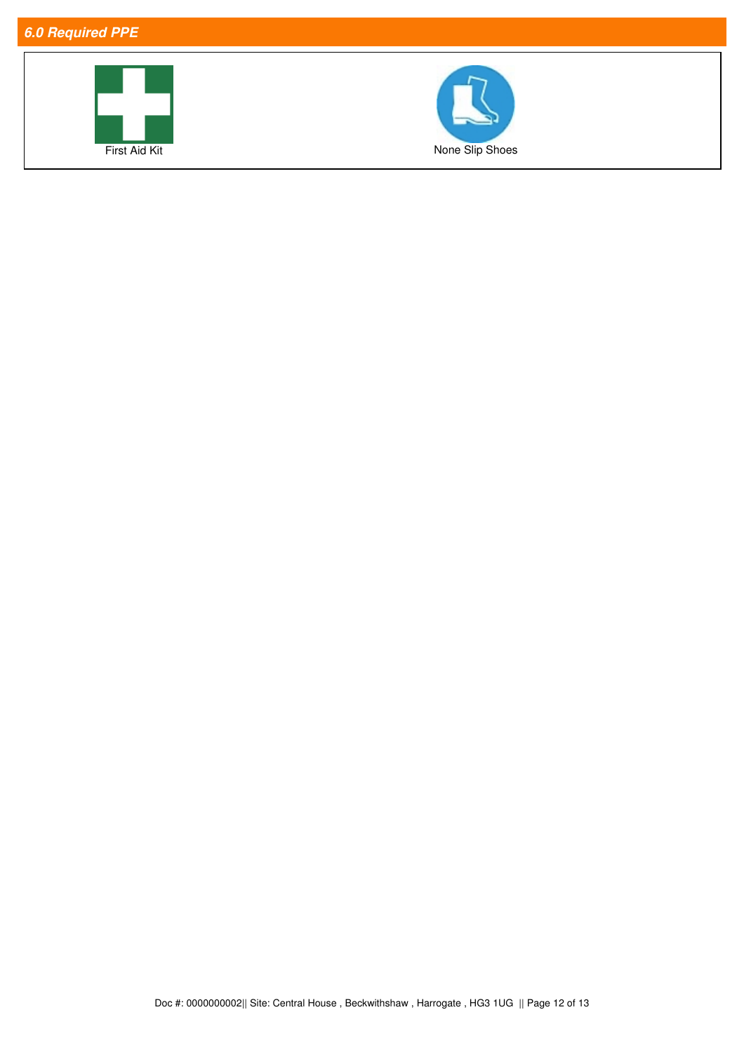## *6.0 Required PPE*